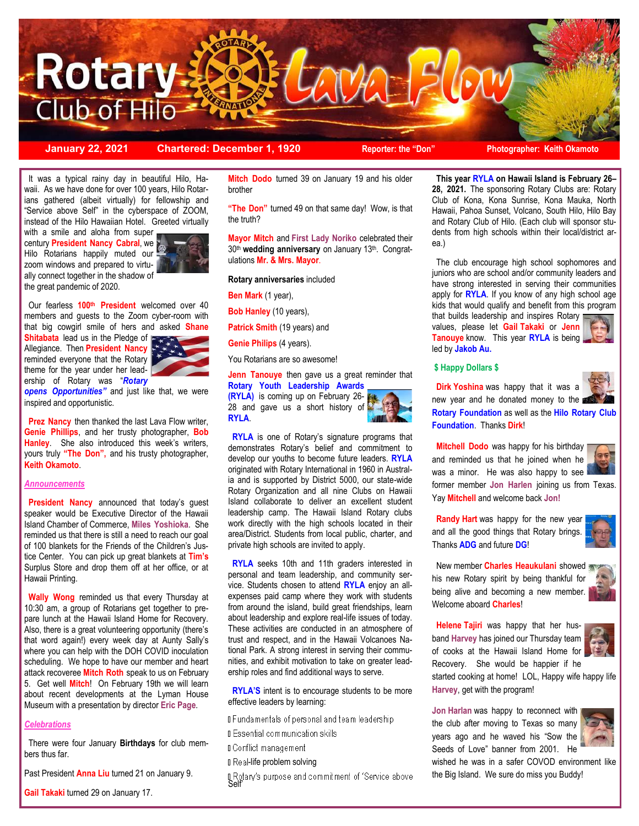

**January 22, 2021 Chartered: December 1, 1920 Reporter: the "Don" Photographer: Keith Okamoto**

 It was a typical rainy day in beautiful Hilo, Hawaii. As we have done for over 100 years, Hilo Rotarians gathered (albeit virtually) for fellowship and "Service above Self" in the cyberspace of ZOOM, instead of the Hilo Hawaiian Hotel. Greeted virtually

with a smile and aloha from super century **President Nancy Cabral**, we Hilo Rotarians happily muted our zoom windows and prepared to virtually connect together in the shadow of the great pandemic of 2020.



 Our fearless **100th President** welcomed over 40 members and guests to the Zoom cyber-room with that big cowgirl smile of hers and asked **Shane** 

**Shitabata** lead us in the Pledge of Allegiance. Then **President Nancy**  reminded everyone that the Rotary theme for the year under her leadership of Rotary was "*Rotary* 



**opens Opportunities"** and just like that, we were inspired and opportunistic.

**Prez Nancy** then thanked the last Lava Flow writer, **Genie Phillips**, and her trusty photographer, **Bob Hanley**. She also introduced this week's writers, yours truly **"The Don",** and his trusty photographer, **Keith Okamoto**.

#### *Announcements*

 **President Nancy** announced that today's guest speaker would be Executive Director of the Hawaii Island Chamber of Commerce, **Miles Yoshioka**. She reminded us that there is still a need to reach our goal of 100 blankets for the Friends of the Children's Justice Center. You can pick up great blankets at **Tim's** Surplus Store and drop them off at her office, or at Hawaii Printing.

 **Wally Wong** reminded us that every Thursday at 10:30 am, a group of Rotarians get together to prepare lunch at the Hawaii Island Home for Recovery. Also, there is a great volunteering opportunity (there's that word again!) every week day at Aunty Sally's where you can help with the DOH COVID inoculation scheduling. We hope to have our member and heart attack recoveree **Mitch Roth** speak to us on February 5. Get well **Mitch**! On February 19th we will learn about recent developments at the Lyman House Museum with a presentation by director **Eric Page**.

#### *Celebrations*

 There were four January **Birthdays** for club members thus far.

Past President **Anna Liu** turned 21 on January 9.

**Gail Takaki** turned 29 on January 17.

**Mitch Dodo** turned 39 on January 19 and his older brother

**"The Don"** turned 49 on that same day! Wow, is that the truth?

**Mayor Mitch** and **First Lady Noriko** celebrated their 30th **wedding anniversary** on January 13th. Congratulations **Mr. & Mrs. Mayor**.

#### **Rotary anniversaries** included

**Ben Mark** (1 year),

**Bob Hanley** (10 years),

**Patrick Smith** (19 years) and

**Genie Philips** (4 years).

You Rotarians are so awesome!

#### **Jenn Tanouve** then gave us a great reminder that **Rotary Youth Leadership Awards**

**(RYLA)** is coming up on February 26- 28 and gave us a short history of **RYLA**.



 **RYLA** is one of Rotary's signature programs that demonstrates Rotary's belief and commitment to develop our youths to become future leaders. **RYLA** originated with Rotary International in 1960 in Australia and is supported by District 5000, our state-wide Rotary Organization and all nine Clubs on Hawaii Island collaborate to deliver an excellent student leadership camp. The Hawaii Island Rotary clubs work directly with the high schools located in their area/District. Students from local public, charter, and private high schools are invited to apply.

 **RYLA** seeks 10th and 11th graders interested in personal and team leadership, and community service. Students chosen to attend **RYLA** enjoy an allexpenses paid camp where they work with students from around the island, build great friendships, learn about leadership and explore real-life issues of today. These activities are conducted in an atmosphere of trust and respect, and in the Hawaii Volcanoes National Park. A strong interest in serving their communities, and exhibit motivation to take on greater leadership roles and find additional ways to serve.

**RYLA'S** intent is to encourage students to be more effective leaders by learning:

**IF undamentals of personal and team leadership** 

**I** Essential communication skills

**I** Conflict management

#### **I** Real-life problem solving

Botary's purpose and commitment of 'Service above'<br>Self'

 **This year RYLA on Hawaii Island is February 26– 28, 2021.** The sponsoring Rotary Clubs are: Rotary Club of Kona, Kona Sunrise, Kona Mauka, North Hawaii, Pahoa Sunset, Volcano, South Hilo, Hilo Bay and Rotary Club of Hilo. (Each club will sponsor students from high schools within their local/district area.)

 The club encourage high school sophomores and juniors who are school and/or community leaders and have strong interested in serving their communities apply for **RYLA**. If you know of any high school age kids that would qualify and benefit from this program that builds leadership and inspires Rotary

values, please let **Gail Takaki** or **Jenn Tanouye** know. This year **RYLA** is being led by **Jakob Au.**

#### **\$ Happy Dollars \$**

 **Dirk Yoshina** was happy that it was a new year and he donated money to the **Rotary Foundation** as well as the **Hilo Rotary Club Foundation**. Thanks **Dirk**!

**Mitchell Dodo** was happy for his birthday and reminded us that he joined when he was a minor. He was also happy to see former member **Jon Harlen** joining us from Texas. Yay **Mitchell** and welcome back **Jon!**

 **Randy Hart** was happy for the new year and all the good things that Rotary brings. Thanks **ADG** and future **DG**!

 New member **Charles Heaukulani** showed his new Rotary spirit by being thankful for being alive and becoming a new member. Welcome aboard **Charles**!



 **Helene Tajiri** was happy that her husband **Harvey** has joined our Thursday team of cooks at the Hawaii Island Home for Recovery. She would be happier if he



started cooking at home! LOL, Happy wife happy life **Harvey**, get with the program!

**Jon Harlan** was happy to reconnect with the club after moving to Texas so many years ago and he waved his "Sow the Seeds of Love" banner from 2001. He



wished he was in a safer COVOD environment like the Big Island. We sure do miss you Buddy!

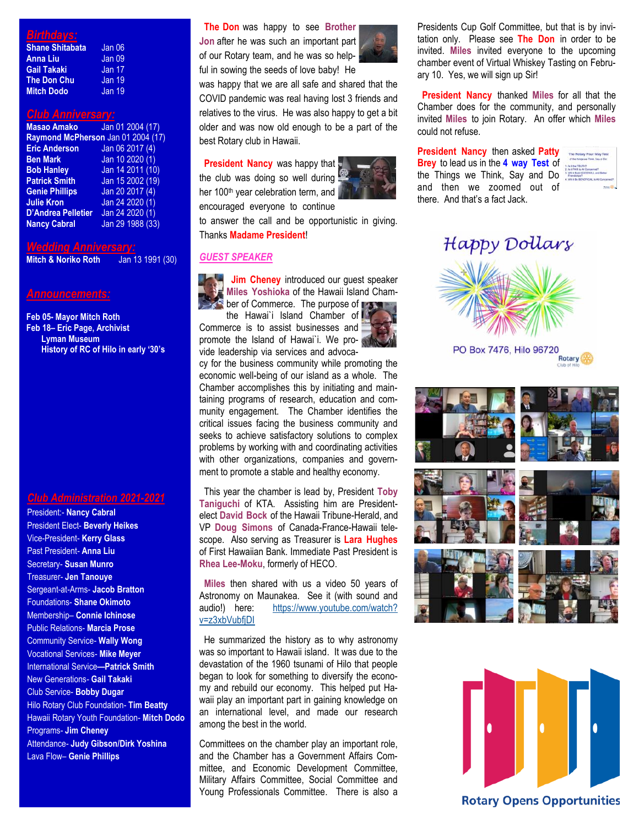# *Birthdays:*

| <b>Shane Shitabata</b> | Jan 06        |
|------------------------|---------------|
| <b>Anna Liu</b>        | Jan 09        |
| <b>Gail Takaki</b>     | <b>Jan 17</b> |
| <b>The Don Chu</b>     | <b>Jan 19</b> |
| <b>Mitch Dodo</b>      | Jan 19        |

#### *Club Anniversary:*

| <b>Masao Amako</b>                 | Jan 01 2004 (17) |  |
|------------------------------------|------------------|--|
| Raymond McPherson Jan 01 2004 (17) |                  |  |
| <b>Eric Anderson</b>               | Jan 06 2017 (4)  |  |
| <b>Ben Mark</b>                    | Jan 10 2020 (1)  |  |
| <b>Bob Hanley</b>                  | Jan 14 2011 (10) |  |
| <b>Patrick Smith</b>               | Jan 15 2002 (19) |  |
| <b>Genie Phillips</b>              | Jan 20 2017 (4)  |  |
| <b>Julie Kron</b>                  | Jan 24 2020 (1)  |  |
| <b>D'Andrea Pelletier</b>          | Jan 24 2020 (1)  |  |
| <b>Nancy Cabral</b>                | Jan 29 1988 (33) |  |

*Wedding Anniversary:* **Mitch & Noriko Roth** 

### *Announcements:*

**Feb 05- Mayor Mitch Roth Feb 18– Eric Page, Archivist Lyman Museum History of RC of Hilo in early '30's**

# *Club Administration 2021-2021*

President:- **Nancy Cabral**  President Elect- **Beverly Heikes** Vice-President- **Kerry Glass** Past President- **Anna Liu** Secretary- **Susan Munro** Treasurer- **Jen Tanouye** Sergeant-at-Arms- **Jacob Bratton** Foundations- **Shane Okimoto** Membership– **Connie Ichinose** Public Relations- **Marcia Prose** Community Service- **Wally Wong** Vocational Services- **Mike Meyer** International Service**—Patrick Smith** New Generations- **Gail Takaki** Club Service- **Bobby Dugar** Hilo Rotary Club Foundation- **Tim Beatty** Hawaii Rotary Youth Foundation- **Mitch Dodo** Programs- **Jim Cheney** Attendance- **Judy Gibson/Dirk Yoshina** Lava Flow– **Genie Phillips**

 **The Don** was happy to see **Brother Jon** after he was such an important part of our Rotary team, and he was so help-

ful in sowing the seeds of love baby! He

was happy that we are all safe and shared that the COVID pandemic was real having lost 3 friends and relatives to the virus. He was also happy to get a bit older and was now old enough to be a part of the best Rotary club in Hawaii.

**President Nancy** was happy that the club was doing so well during her 100<sup>th</sup> year celebration term, and encouraged everyone to continue



to answer the call and be opportunistic in giving. Thanks **Madame President**!

# *GUEST SPEAKER*

 **Jim Cheney** introduced our guest speaker **Miles Yoshioka** of the Hawaii Island Chamber of Commerce. The purpose of  $\Box$ 

the Hawai'i Island Chamber of Commerce is to assist businesses and promote the Island of Hawai'i. We provide leadership via services and advoca-

cy for the business community while promoting the economic well-being of our island as a whole. The Chamber accomplishes this by initiating and maintaining programs of research, education and community engagement. The Chamber identifies the critical issues facing the business community and seeks to achieve satisfactory solutions to complex problems by working with and coordinating activities with other organizations, companies and government to promote a stable and healthy economy.

 This year the chamber is lead by, President **Toby Taniguchi** of KTA. Assisting him are Presidentelect **David Bock** of the Hawaii Tribune-Herald, and VP **Doug Simons** of Canada-France-Hawaii telescope. Also serving as Treasurer is **Lara Hughes**  of First Hawaiian Bank. Immediate Past President is **Rhea Lee-Moku**, formerly of HECO.

 **Miles** then shared with us a video 50 years of Astronomy on Maunakea. See it (with sound and audio!) here: [https://www.youtube.com/watch?](https://www.youtube.com/watch?v=z3xbVubfjDI) [v=z3xbVubfjDI](https://www.youtube.com/watch?v=z3xbVubfjDI)

 He summarized the history as to why astronomy was so important to Hawaii island. It was due to the devastation of the 1960 tsunami of Hilo that people began to look for something to diversify the economy and rebuild our economy. This helped put Hawaii play an important part in gaining knowledge on an international level, and made our research among the best in the world.

Committees on the chamber play an important role, and the Chamber has a Government Affairs Committee, and Economic Development Committee, Military Affairs Committee, Social Committee and Young Professionals Committee. There is also a Presidents Cup Golf Committee, but that is by invitation only. Please see **The Don** in order to be invited. **Miles** invited everyone to the upcoming chamber event of Virtual Whiskey Tasting on February 10. Yes, we will sign up Sir!

 **President Nancy** thanked **Miles** for all that the Chamber does for the community, and personally invited **Miles** to join Rotary. An offer which **Miles** could not refuse.

**President Nancy** then asked **Patty Brey** to lead us in the **4 way Test** of the Things we Think, Say and Do and then we zoomed out of there. And that's a fact Jack.



Happy Dollars



PO Box 7476, Hilo 96720 **Rotary** 





## **Rotary Opens Opportunities**